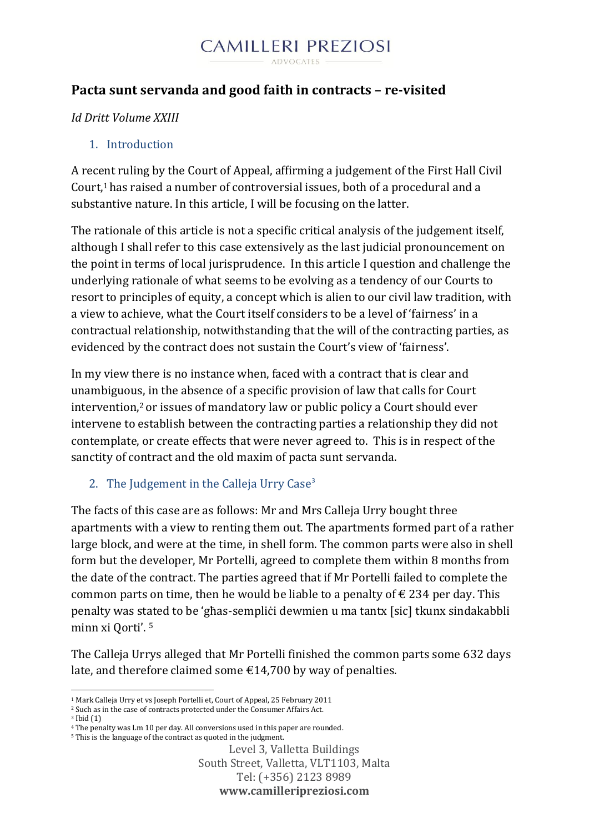#### **CAMILLERI PREZIOSI** ADVOCATES

### **Pacta sunt servanda and good faith in contracts – re-visited**

#### *Id Dritt Volume XXIII*

#### 1. Introduction

A recent ruling by the Court of Appeal, affirming a judgement of the First Hall Civil Court,<sup>1</sup> has raised a number of controversial issues, both of a procedural and a substantive nature. In this article, I will be focusing on the latter.

The rationale of this article is not a specific critical analysis of the judgement itself, although I shall refer to this case extensively as the last judicial pronouncement on the point in terms of local jurisprudence. In this article I question and challenge the underlying rationale of what seems to be evolving as a tendency of our Courts to resort to principles of equity, a concept which is alien to our civil law tradition, with a view to achieve, what the Court itself considers to be a level of 'fairness' in a contractual relationship, notwithstanding that the will of the contracting parties, as evidenced by the contract does not sustain the Court's view of 'fairness'.

In my view there is no instance when, faced with a contract that is clear and unambiguous, in the absence of a specific provision of law that calls for Court intervention,<sup>2</sup> or issues of mandatory law or public policy a Court should ever intervene to establish between the contracting parties a relationship they did not contemplate, or create effects that were never agreed to. This is in respect of the sanctity of contract and the old maxim of pacta sunt servanda.

#### 2. The Judgement in the Calleja Urry  $Case<sup>3</sup>$

The facts of this case are as follows: Mr and Mrs Calleja Urry bought three apartments with a view to renting them out. The apartments formed part of a rather large block, and were at the time, in shell form. The common parts were also in shell form but the developer, Mr Portelli, agreed to complete them within 8 months from the date of the contract. The parties agreed that if Mr Portelli failed to complete the common parts on time, then he would be liable to a penalty of  $\epsilon$  234 per day. This penalty was stated to be 'għas-sempliċi dewmien u ma tantx [sic] tkunx sindakabbli minn xi Qorti'. <sup>5</sup>

The Calleja Urrys alleged that Mr Portelli finished the common parts some 632 days late, and therefore claimed some  $\epsilon$ 14,700 by way of penalties.

**.** 

<sup>1</sup> Mark Calleja Urry et vs Joseph Portelli et, Court of Appeal, 25 February 2011

<sup>2</sup> Such as in the case of contracts protected under the Consumer Affairs Act.

<sup>3</sup> Ibid (1)

<sup>&</sup>lt;sup>4</sup> The penalty was Lm 10 per day. All conversions used in this paper are rounded.

<sup>5</sup> This is the language of the contract as quoted in the judgment.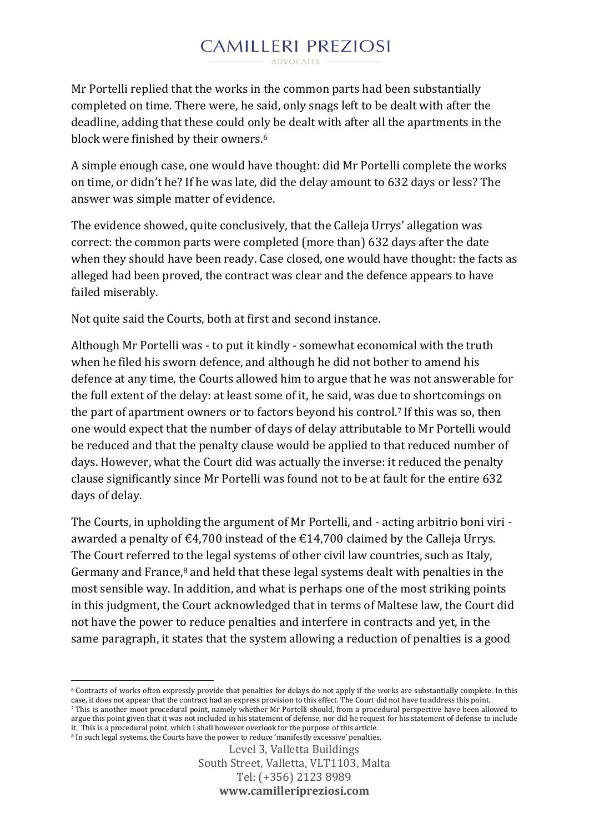Mr Portelli replied that the works in the common parts had been substantially completed on time. There were, he said, only snags left to be dealt with after the deadline, adding that these could only be dealt with after all the apartments in the block were finished by their owners.<sup>6</sup>

A simple enough case, one would have thought: did Mr Portelli complete the works on time, or didn't he? If he was late, did the delay amount to 632 days or less? The answer was simple matter of evidence.

The evidence showed, quite conclusively, that the Calleja Urrys' allegation was correct: the common parts were completed (more than) 632 days after the date when they should have been ready. Case closed, one would have thought: the facts as alleged had been proved, the contract was clear and the defence appears to have failed miserably.

Not quite said the Courts, both at first and second instance.

Although Mr Portelli was - to put it kindly - somewhat economical with the truth when he filed his sworn defence, and although he did not bother to amend his defence at any time, the Courts allowed him to argue that he was not answerable for the full extent of the delay: at least some of it, he said, was due to shortcomings on the part of apartment owners or to factors beyond his control.<sup>7</sup> If this was so, then one would expect that the number of days of delay attributable to Mr Portelli would be reduced and that the penalty clause would be applied to that reduced number of days. However, what the Court did was actually the inverse: it reduced the penalty clause significantly since Mr Portelli was found not to be at fault for the entire 632 days of delay.

The Courts, in upholding the argument of Mr Portelli, and - acting arbitrio boni viri awarded a penalty of  $\epsilon$ 4,700 instead of the  $\epsilon$ 14,700 claimed by the Calleja Urrys. The Court referred to the legal systems of other civil law countries, such as Italy, Germany and France, $8$  and held that these legal systems dealt with penalties in the most sensible way. In addition, and what is perhaps one of the most striking points in this judgment, the Court acknowledged that in terms of Maltese law, the Court did not have the power to reduce penalties and interfere in contracts and yet, in the same paragraph, it states that the system allowing a reduction of penalties is a good

1 <sup>6</sup> Contracts of works often expressly provide that penalties for delays do not apply if the works are substantially complete. In this case, it does not appear that the contract had an express provision to this effect. The Court did not have to address this point.

<sup>7</sup> This is another moot procedural point, namely whether Mr Portelli should, from a procedural perspective have been allowed to argue this point given that it was not included in his statement of defense, nor did he request for his statement of defense to include it. This is a procedural point, which I shall however overlook for the purpose of this article.

<sup>8</sup> In such legal systems, the Courts have the power to reduce 'manifestly excessive' penalties.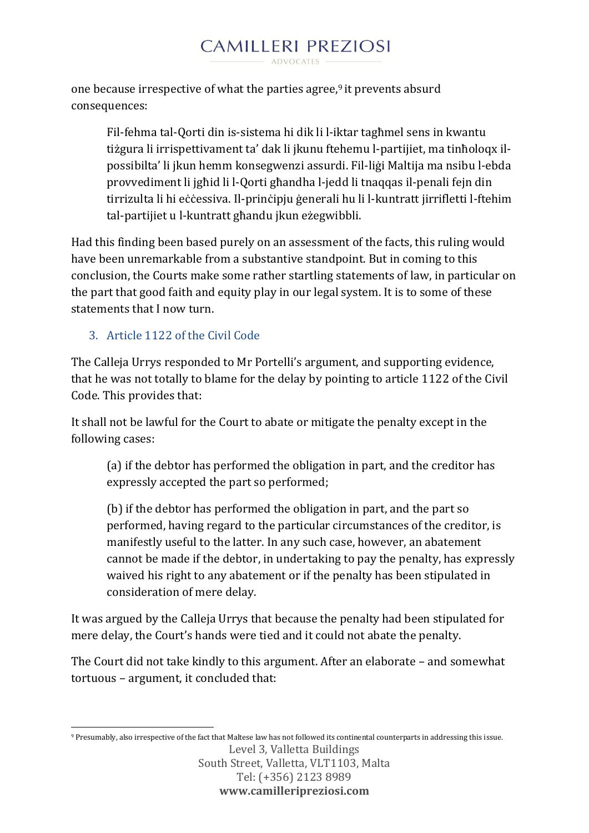one because irrespective of what the parties agree, $9$  it prevents absurd consequences:

Fil-fehma tal-Qorti din is-sistema hi dik li l-iktar tagħmel sens in kwantu tiżgura li irrispettivament ta' dak li jkunu ftehemu l-partijiet, ma tinħoloqx ilpossibilta' li jkun hemm konsegwenzi assurdi. Fil-liġi Maltija ma nsibu l-ebda provvediment li jgħid li l-Qorti għandha l-jedd li tnaqqas il-penali fejn din tirrizulta li hi eċċessiva. Il-prinċipju ġenerali hu li l-kuntratt jirrifletti l-ftehim tal-partijiet u l-kuntratt għandu jkun eżegwibbli.

Had this finding been based purely on an assessment of the facts, this ruling would have been unremarkable from a substantive standpoint. But in coming to this conclusion, the Courts make some rather startling statements of law, in particular on the part that good faith and equity play in our legal system. It is to some of these statements that I now turn.

### 3. Article 1122 of the Civil Code

The Calleja Urrys responded to Mr Portelli's argument, and supporting evidence, that he was not totally to blame for the delay by pointing to article 1122 of the Civil Code. This provides that:

It shall not be lawful for the Court to abate or mitigate the penalty except in the following cases:

(a) if the debtor has performed the obligation in part, and the creditor has expressly accepted the part so performed;

(b) if the debtor has performed the obligation in part, and the part so performed, having regard to the particular circumstances of the creditor, is manifestly useful to the latter. In any such case, however, an abatement cannot be made if the debtor, in undertaking to pay the penalty, has expressly waived his right to any abatement or if the penalty has been stipulated in consideration of mere delay.

It was argued by the Calleja Urrys that because the penalty had been stipulated for mere delay, the Court's hands were tied and it could not abate the penalty.

The Court did not take kindly to this argument. After an elaborate – and somewhat tortuous – argument, it concluded that:

**www.camilleripreziosi.com**

Level 3, Valletta Buildings South Street, Valletta, VLT1103, Malta Tel: (+356) 2123 8989 1 <sup>9</sup> Presumably, also irrespective of the fact that Maltese law has not followed its continental counterparts in addressing this issue.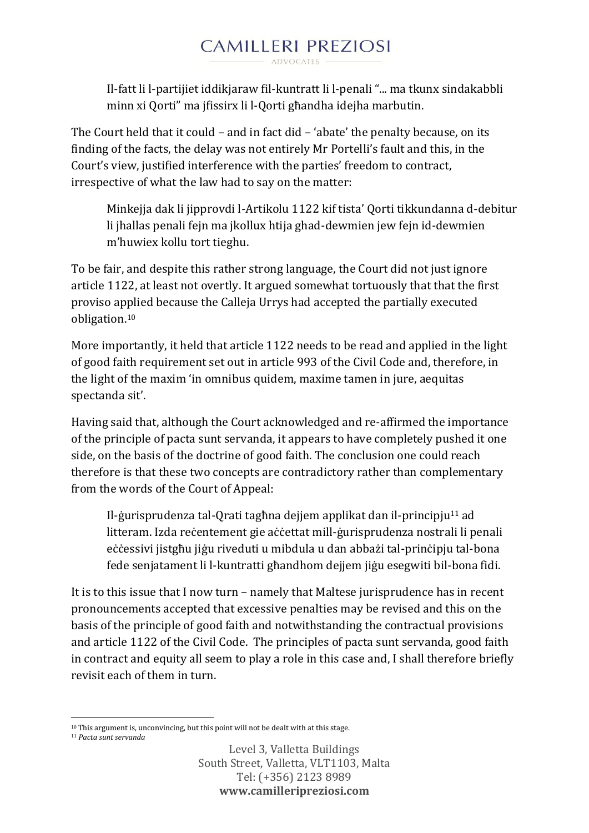Il-fatt li l-partijiet iddikjaraw fil-kuntratt li l-penali "... ma tkunx sindakabbli minn xi Qorti" ma jfissirx li l-Qorti għandha idejha marbutin.

The Court held that it could – and in fact did – 'abate' the penalty because, on its finding of the facts, the delay was not entirely Mr Portelli's fault and this, in the Court's view, justified interference with the parties' freedom to contract, irrespective of what the law had to say on the matter:

Minkejja dak li jipprovdi l-Artikolu 1122 kif tista' Qorti tikkundanna d-debitur li jhallas penali fejn ma jkollux htija ghad-dewmien jew fejn id-dewmien m'huwiex kollu tort tieghu.

To be fair, and despite this rather strong language, the Court did not just ignore article 1122, at least not overtly. It argued somewhat tortuously that that the first proviso applied because the Calleja Urrys had accepted the partially executed obligation.<sup>10</sup>

More importantly, it held that article 1122 needs to be read and applied in the light of good faith requirement set out in article 993 of the Civil Code and, therefore, in the light of the maxim 'in omnibus quidem, maxime tamen in jure, aequitas spectanda sit'.

Having said that, although the Court acknowledged and re-affirmed the importance of the principle of pacta sunt servanda, it appears to have completely pushed it one side, on the basis of the doctrine of good faith. The conclusion one could reach therefore is that these two concepts are contradictory rather than complementary from the words of the Court of Appeal:

Il-ġurisprudenza tal-Qrati tagħna dejjem applikat dan il-principju<sup>11</sup> ad litteram. Izda reċentement gie aċċettat mill-ġurisprudenza nostrali li penali eċċessivi jistgħu jiġu riveduti u mibdula u dan abbażi tal-prinċipju tal-bona fede senjatament li l-kuntratti għandhom dejjem jiġu esegwiti bil-bona fidi.

It is to this issue that I now turn – namely that Maltese jurisprudence has in recent pronouncements accepted that excessive penalties may be revised and this on the basis of the principle of good faith and notwithstanding the contractual provisions and article 1122 of the Civil Code. The principles of pacta sunt servanda, good faith in contract and equity all seem to play a role in this case and, I shall therefore briefly revisit each of them in turn.

<sup>1</sup> <sup>10</sup> This argument is, unconvincing, but this point will not be dealt with at this stage.

<sup>11</sup> *Pacta sunt servanda*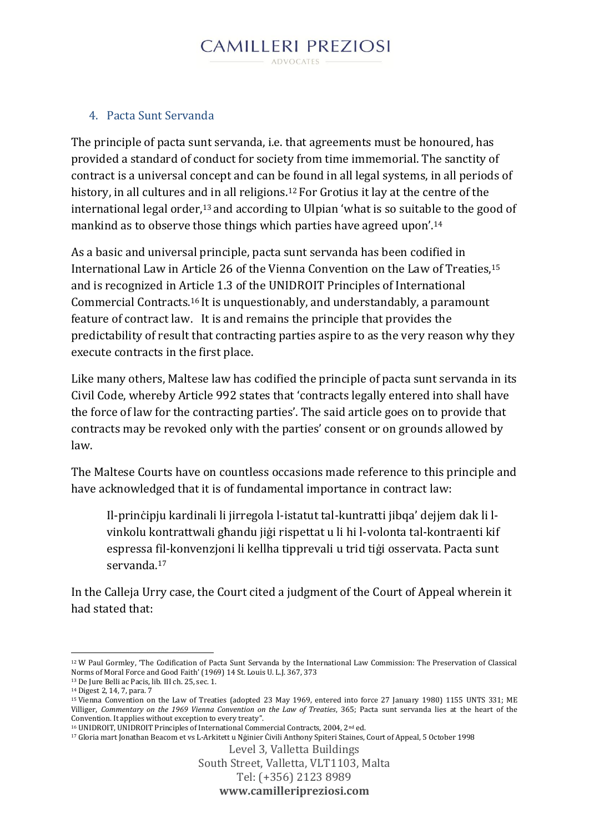#### **CAMILLERI PREZIOSI** ADVOCATES -

#### 4. Pacta Sunt Servanda

The principle of pacta sunt servanda, i.e. that agreements must be honoured, has provided a standard of conduct for society from time immemorial. The sanctity of contract is a universal concept and can be found in all legal systems, in all periods of history, in all cultures and in all religions.<sup>12</sup> For Grotius it lay at the centre of the international legal order,<sup>13</sup> and according to Ulpian 'what is so suitable to the good of mankind as to observe those things which parties have agreed upon'.<sup>14</sup>

As a basic and universal principle, pacta sunt servanda has been codified in International Law in Article 26 of the Vienna Convention on the Law of Treaties,<sup>15</sup> and is recognized in Article 1.3 of the UNIDROIT Principles of International Commercial Contracts.<sup>16</sup> It is unquestionably, and understandably, a paramount feature of contract law. It is and remains the principle that provides the predictability of result that contracting parties aspire to as the very reason why they execute contracts in the first place.

Like many others, Maltese law has codified the principle of pacta sunt servanda in its Civil Code, whereby Article 992 states that 'contracts legally entered into shall have the force of law for the contracting parties'. The said article goes on to provide that contracts may be revoked only with the parties' consent or on grounds allowed by law.

The Maltese Courts have on countless occasions made reference to this principle and have acknowledged that it is of fundamental importance in contract law:

Il-prinċipju kardinali li jirregola l-istatut tal-kuntratti jibqa' dejjem dak li lvinkolu kontrattwali għandu jiġi rispettat u li hi l-volonta tal-kontraenti kif espressa fil-konvenzjoni li kellha tipprevali u trid tiġi osservata. Pacta sunt servanda.<sup>17</sup>

In the Calleja Urry case, the Court cited a judgment of the Court of Appeal wherein it had stated that:

<sup>17</sup> Gloria mart Jonathan Beacom et vs L-Arkitett u Nġinier Ċivili Anthony Spiteri Staines, Court of Appeal, 5 October 1998

```
Level 3, Valletta Buildings
```
South Street, Valletta, VLT1103, Malta

```
Tel: (+356) 2123 8989
```
**www.camilleripreziosi.com**

<sup>1</sup> <sup>12</sup> W Paul Gormley, 'The Codification of Pacta Sunt Servanda by the International Law Commission: The Preservation of Classical Norms of Moral Force and Good Faith' (1969) 14 St. Louis U. L.J. 367, 373

<sup>13</sup> De Jure Belli ac Pacis, lib. III ch. 25, sec. 1.

<sup>14</sup> Digest 2, 14, 7, para. 7

<sup>15</sup> Vienna Convention on the Law of Treaties (adopted 23 May 1969, entered into force 27 January 1980) 1155 UNTS 331; ME Villiger, *Commentary on the 1969 Vienna Convention on the Law of Treaties*, 365; Pacta sunt servanda lies at the heart of the Convention. It applies without exception to every treaty".

<sup>16</sup> UNIDROIT, UNIDROIT Principles of International Commercial Contracts, 2004, 2nd ed.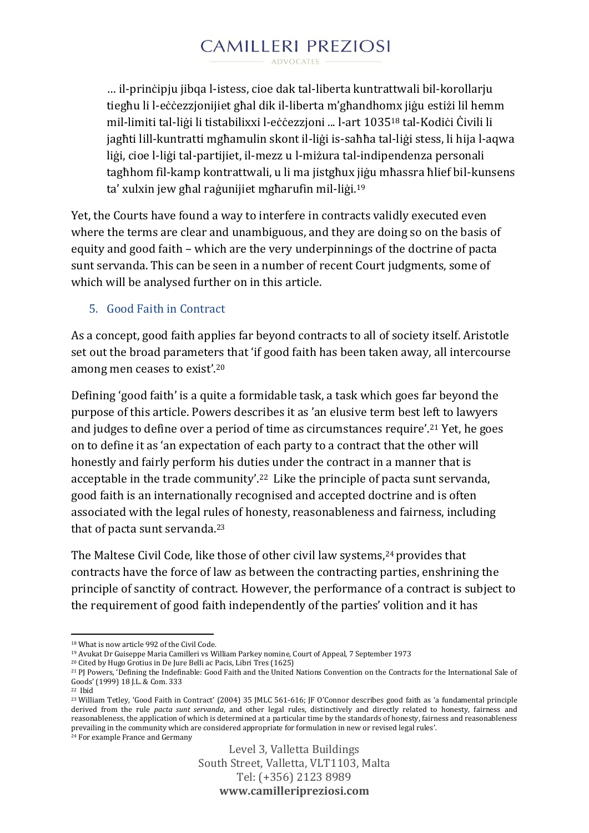… il-prinċipju jibqa l-istess, cioe dak tal-liberta kuntrattwali bil-korollarju tiegħu li l-eċċezzjonijiet għal dik il-liberta m'għandhomx jiġu estiżi lil hemm mil-limiti tal-liġi li tistabilixxi l-eċċezzjoni ... l-art 1035<sup>18</sup> tal-Kodiċi Ċivili li jagħti lill-kuntratti mgħamulin skont il-liġi is-saħħa tal-liġi stess, li hija l-aqwa liġi, cioe l-liġi tal-partijiet, il-mezz u l-miżura tal-indipendenza personali tagħhom fil-kamp kontrattwali, u li ma jistgħux jiġu mħassra ħlief bil-kunsens ta' xulxin jew għal raġunijiet mgħarufin mil-liġi.<sup>19</sup>

Yet, the Courts have found a way to interfere in contracts validly executed even where the terms are clear and unambiguous, and they are doing so on the basis of equity and good faith – which are the very underpinnings of the doctrine of pacta sunt servanda. This can be seen in a number of recent Court judgments, some of which will be analysed further on in this article.

### 5. Good Faith in Contract

As a concept, good faith applies far beyond contracts to all of society itself. Aristotle set out the broad parameters that 'if good faith has been taken away, all intercourse among men ceases to exist'.<sup>20</sup>

Defining 'good faith' is a quite a formidable task, a task which goes far beyond the purpose of this article. Powers describes it as 'an elusive term best left to lawyers and judges to define over a period of time as circumstances require'.<sup>21</sup> Yet, he goes on to define it as 'an expectation of each party to a contract that the other will honestly and fairly perform his duties under the contract in a manner that is acceptable in the trade community'.22 Like the principle of pacta sunt servanda, good faith is an internationally recognised and accepted doctrine and is often associated with the legal rules of honesty, reasonableness and fairness, including that of pacta sunt servanda.<sup>23</sup>

The Maltese Civil Code, like those of other civil law systems,<sup>24</sup> provides that contracts have the force of law as between the contracting parties, enshrining the principle of sanctity of contract. However, the performance of a contract is subject to the requirement of good faith independently of the parties' volition and it has

**<sup>.</sup>** <sup>18</sup> What is now article 992 of the Civil Code.

<sup>19</sup> Avukat Dr Guiseppe Maria Camilleri vs William Parkey nomine, Court of Appeal, 7 September 1973

<sup>20</sup> Cited by Hugo Grotius in De Jure Belli ac Pacis, Libri Tres (1625)

<sup>21</sup> PJ Powers*,* 'Defining the Indefinable: Good Faith and the United Nations Convention on the Contracts for the International Sale of Goods' (1999) 18 J.L. & Com. 333

<sup>22</sup> Ibid

<sup>23</sup> William Tetley, 'Good Faith in Contract' (2004) 35 JMLC 561-616; JF O'Connor describes good faith as 'a fundamental principle derived from the rule *pacta sunt servanda*, and other legal rules, distinctively and directly related to honesty, fairness and reasonableness, the application of which is determined at a particular time by the standards of honesty, fairness and reasonableness prevailing in the community which are considered appropriate for formulation in new or revised legal rules'. <sup>24</sup> For example France and Germany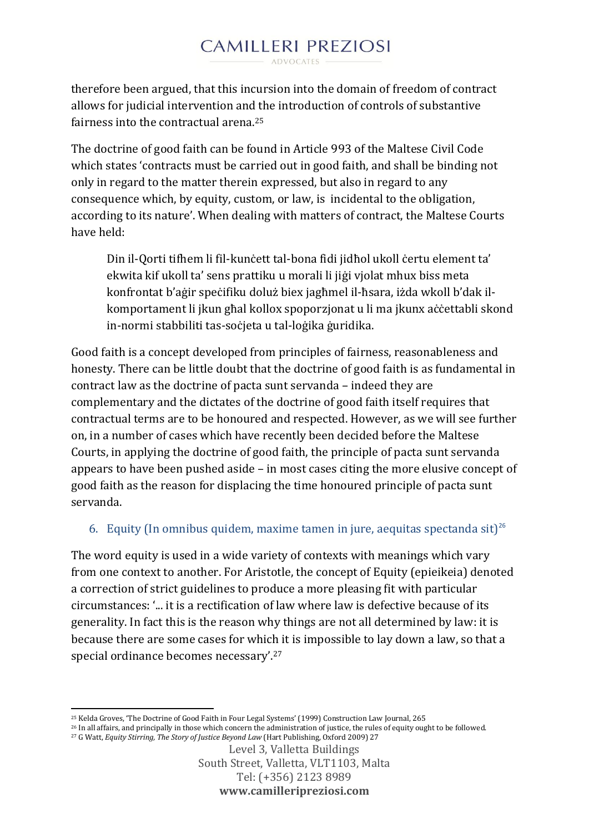therefore been argued, that this incursion into the domain of freedom of contract allows for judicial intervention and the introduction of controls of substantive fairness into the contractual arena.<sup>25</sup>

The doctrine of good faith can be found in Article 993 of the Maltese Civil Code which states 'contracts must be carried out in good faith, and shall be binding not only in regard to the matter therein expressed, but also in regard to any consequence which, by equity, custom, or law, is incidental to the obligation, according to its nature'. When dealing with matters of contract, the Maltese Courts have held:

Din il-Qorti tifhem li fil-kunċett tal-bona fidi jidħol ukoll ċertu element ta' ekwita kif ukoll ta' sens prattiku u morali li jiġi vjolat mhux biss meta konfrontat b'aġir speċifiku doluż biex jagħmel il-ħsara, iżda wkoll b'dak ilkomportament li jkun għal kollox spoporzjonat u li ma jkunx aċċettabli skond in-normi stabbiliti tas-soċjeta u tal-loġika ġuridika.

Good faith is a concept developed from principles of fairness, reasonableness and honesty. There can be little doubt that the doctrine of good faith is as fundamental in contract law as the doctrine of pacta sunt servanda – indeed they are complementary and the dictates of the doctrine of good faith itself requires that contractual terms are to be honoured and respected. However, as we will see further on, in a number of cases which have recently been decided before the Maltese Courts, in applying the doctrine of good faith, the principle of pacta sunt servanda appears to have been pushed aside – in most cases citing the more elusive concept of good faith as the reason for displacing the time honoured principle of pacta sunt servanda.

### 6. Equity (In omnibus quidem, maxime tamen in jure, aequitas spectanda sit)<sup>26</sup>

The word equity is used in a wide variety of contexts with meanings which vary from one context to another. For Aristotle, the concept of Equity (epieikeia) denoted a correction of strict guidelines to produce a more pleasing fit with particular circumstances: '... it is a rectification of law where law is defective because of its generality. In fact this is the reason why things are not all determined by law: it is because there are some cases for which it is impossible to lay down a law, so that a special ordinance becomes necessary'.<sup>27</sup>

<sup>27</sup> G Watt, *Equity Stirring, The Story of Justice Beyond Law* (Hart Publishing, Oxford 2009) 27

1

<sup>25</sup> Kelda Groves, 'The Doctrine of Good Faith in Four Legal Systems' (1999) Construction Law Journal, 265

<sup>26</sup> In all affairs, and principally in those which concern the administration of justice, the rules of equity ought to be followed.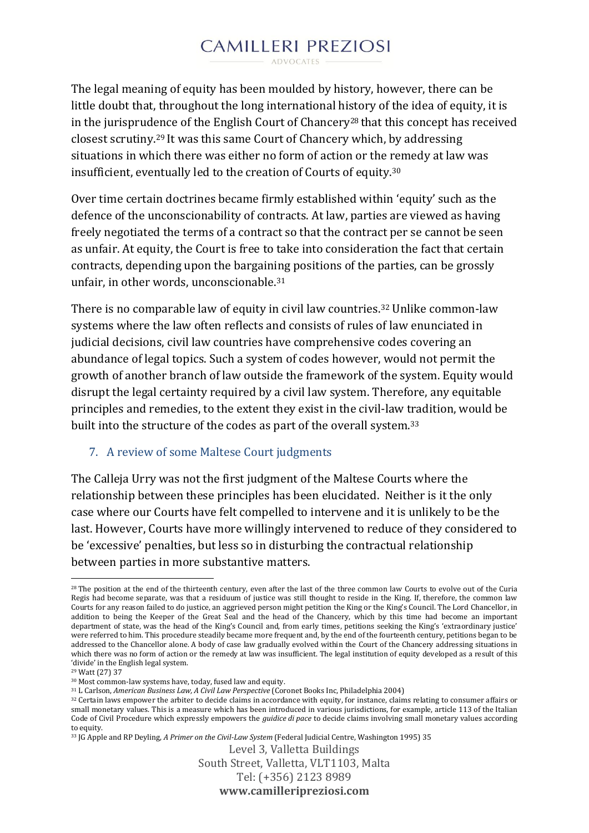The legal meaning of equity has been moulded by history, however, there can be little doubt that, throughout the long international history of the idea of equity, it is in the jurisprudence of the English Court of Chancery<sup>28</sup> that this concept has received closest scrutiny.<sup>29</sup> It was this same Court of Chancery which, by addressing situations in which there was either no form of action or the remedy at law was insufficient, eventually led to the creation of Courts of equity.<sup>30</sup>

Over time certain doctrines became firmly established within 'equity' such as the defence of the unconscionability of contracts. At law, parties are viewed as having freely negotiated the terms of a contract so that the contract per se cannot be seen as unfair. At equity, the Court is free to take into consideration the fact that certain contracts, depending upon the bargaining positions of the parties, can be grossly unfair, in other words, unconscionable.<sup>31</sup>

There is no comparable law of equity in civil law countries.<sup>32</sup> Unlike common-law systems where the law often reflects and consists of rules of law enunciated in judicial decisions, civil law countries have comprehensive codes covering an abundance of legal topics. Such a system of codes however, would not permit the growth of another branch of law outside the framework of the system. Equity would disrupt the legal certainty required by a civil law system. Therefore, any equitable principles and remedies, to the extent they exist in the civil-law tradition, would be built into the structure of the codes as part of the overall system.<sup>33</sup>

#### 7. A review of some Maltese Court judgments

The Calleja Urry was not the first judgment of the Maltese Courts where the relationship between these principles has been elucidated. Neither is it the only case where our Courts have felt compelled to intervene and it is unlikely to be the last. However, Courts have more willingly intervened to reduce of they considered to be 'excessive' penalties, but less so in disturbing the contractual relationship between parties in more substantive matters.

<sup>33</sup> JG Apple and RP Deyling, *A Primer on the Civil-Law System* (Federal Judicial Centre, Washington 1995) 35

**<sup>.</sup>** <sup>28</sup> The position at the end of the thirteenth century, even after the last of the three common law Courts to evolve out of the Curia Regis had become separate, was that a residuum of justice was still thought to reside in the King. If, therefore, the common law Courts for any reason failed to do justice, an aggrieved person might petition the King or the King's Council. The Lord Chancellor, in addition to being the Keeper of the Great Seal and the head of the Chancery, which by this time had become an important department of state, was the head of the King's Council and, from early times, petitions seeking the King's 'extraordinary justice' were referred to him. This procedure steadily became more frequent and, by the end of the fourteenth century, petitions began to be addressed to the Chancellor alone. A body of case law gradually evolved within the Court of the Chancery addressing situations in which there was no form of action or the remedy at law was insufficient. The legal institution of equity developed as a result of this 'divide' in the English legal system.

<sup>29</sup> Watt (27) 37

<sup>30</sup> Most common-law systems have, today, fused law and equity.

<sup>31</sup> L Carlson, *American Business Law, A Civil Law Perspective* (Coronet Books Inc, Philadelphia 2004)

<sup>32</sup> Certain laws empower the arbiter to decide claims in accordance with equity, for instance, claims relating to consumer affairs or small monetary values. This is a measure which has been introduced in various jurisdictions, for example, article 113 of the Italian Code of Civil Procedure which expressly empowers the *guidice di pace* to decide claims involving small monetary values according to equity.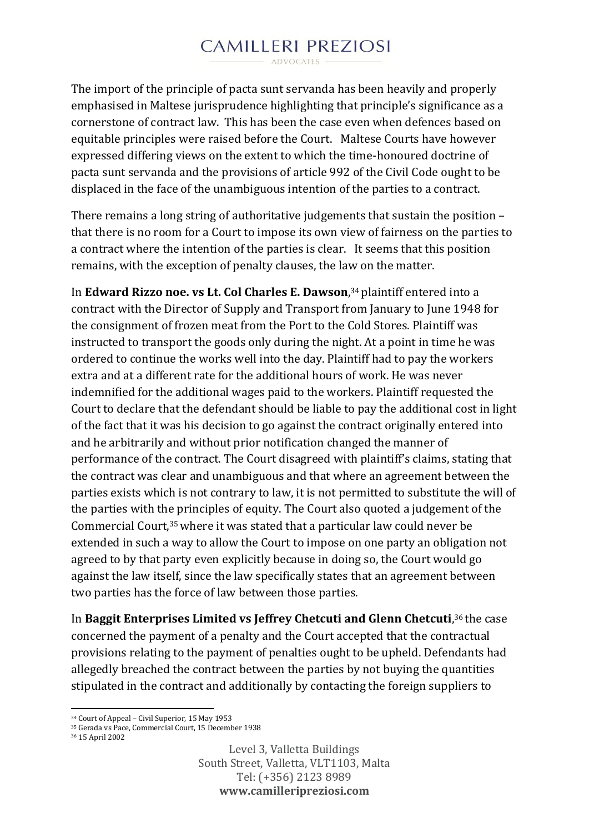The import of the principle of pacta sunt servanda has been heavily and properly emphasised in Maltese jurisprudence highlighting that principle's significance as a cornerstone of contract law. This has been the case even when defences based on equitable principles were raised before the Court. Maltese Courts have however expressed differing views on the extent to which the time-honoured doctrine of pacta sunt servanda and the provisions of article 992 of the Civil Code ought to be displaced in the face of the unambiguous intention of the parties to a contract.

There remains a long string of authoritative judgements that sustain the position – that there is no room for a Court to impose its own view of fairness on the parties to a contract where the intention of the parties is clear. It seems that this position remains, with the exception of penalty clauses, the law on the matter.

In **Edward Rizzo noe. vs Lt. Col Charles E. Dawson**, <sup>34</sup> plaintiff entered into a contract with the Director of Supply and Transport from January to June 1948 for the consignment of frozen meat from the Port to the Cold Stores. Plaintiff was instructed to transport the goods only during the night. At a point in time he was ordered to continue the works well into the day. Plaintiff had to pay the workers extra and at a different rate for the additional hours of work. He was never indemnified for the additional wages paid to the workers. Plaintiff requested the Court to declare that the defendant should be liable to pay the additional cost in light of the fact that it was his decision to go against the contract originally entered into and he arbitrarily and without prior notification changed the manner of performance of the contract. The Court disagreed with plaintiff's claims, stating that the contract was clear and unambiguous and that where an agreement between the parties exists which is not contrary to law, it is not permitted to substitute the will of the parties with the principles of equity. The Court also quoted a judgement of the Commercial Court,35where it was stated that a particular law could never be extended in such a way to allow the Court to impose on one party an obligation not agreed to by that party even explicitly because in doing so, the Court would go against the law itself, since the law specifically states that an agreement between two parties has the force of law between those parties.

In **Baggit Enterprises Limited vs Jeffrey Chetcuti and Glenn Chetcuti**, <sup>36</sup> the case concerned the payment of a penalty and the Court accepted that the contractual provisions relating to the payment of penalties ought to be upheld. Defendants had allegedly breached the contract between the parties by not buying the quantities stipulated in the contract and additionally by contacting the foreign suppliers to

1

<sup>34</sup> Court of Appeal – Civil Superior, 15 May 1953

<sup>35</sup> Gerada vs Pace, Commercial Court, 15 December 1938

<sup>36</sup> 15 April 2002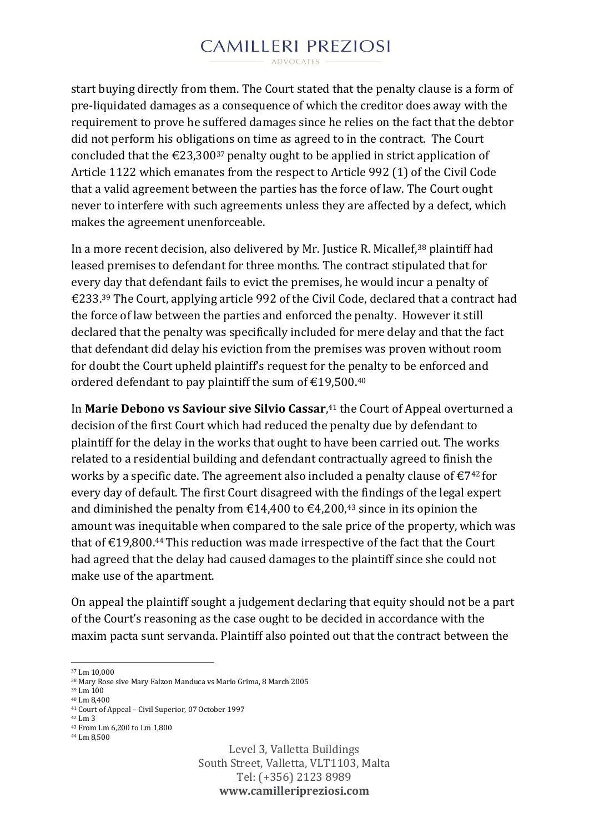ADVOCATES

start buying directly from them. The Court stated that the penalty clause is a form of pre-liquidated damages as a consequence of which the creditor does away with the requirement to prove he suffered damages since he relies on the fact that the debtor did not perform his obligations on time as agreed to in the contract. The Court concluded that the  $\epsilon$ 23,300<sup>37</sup> penalty ought to be applied in strict application of Article 1122 which emanates from the respect to Article 992 (1) of the Civil Code that a valid agreement between the parties has the force of law. The Court ought never to interfere with such agreements unless they are affected by a defect, which makes the agreement unenforceable.

In a more recent decision, also delivered by Mr. Justice R. Micallef,<sup>38</sup> plaintiff had leased premises to defendant for three months. The contract stipulated that for every day that defendant fails to evict the premises, he would incur a penalty of €233.<sup>39</sup> The Court, applying article 992 of the Civil Code, declared that a contract had the force of law between the parties and enforced the penalty. However it still declared that the penalty was specifically included for mere delay and that the fact that defendant did delay his eviction from the premises was proven without room for doubt the Court upheld plaintiff's request for the penalty to be enforced and ordered defendant to pay plaintiff the sum of  $\text{\textsterling}19,500$ .<sup>40</sup>

In **Marie Debono vs Saviour sive Silvio Cassar**, <sup>41</sup> the Court of Appeal overturned a decision of the first Court which had reduced the penalty due by defendant to plaintiff for the delay in the works that ought to have been carried out. The works related to a residential building and defendant contractually agreed to finish the works by a specific date. The agreement also included a penalty clause of  $\epsilon$ 7<sup>42</sup> for every day of default. The first Court disagreed with the findings of the legal expert and diminished the penalty from  $\epsilon$ 14,400 to  $\epsilon$ 4,200,<sup>43</sup> since in its opinion the amount was inequitable when compared to the sale price of the property, which was that of  $\text{\textsterling}19,800$ .<sup>44</sup> This reduction was made irrespective of the fact that the Court had agreed that the delay had caused damages to the plaintiff since she could not make use of the apartment.

On appeal the plaintiff sought a judgement declaring that equity should not be a part of the Court's reasoning as the case ought to be decided in accordance with the maxim pacta sunt servanda. Plaintiff also pointed out that the contract between the

1

<sup>37</sup> Lm 10,000

<sup>38</sup> Mary Rose sive Mary Falzon Manduca vs Mario Grima, 8 March 2005

<sup>39</sup> Lm 100

<sup>40</sup> Lm 8,400

<sup>41</sup> Court of Appeal – Civil Superior, 07 October 1997

<sup>42</sup> Lm 3

<sup>43</sup> From Lm 6,200 to Lm 1,800

<sup>44</sup> Lm 8,500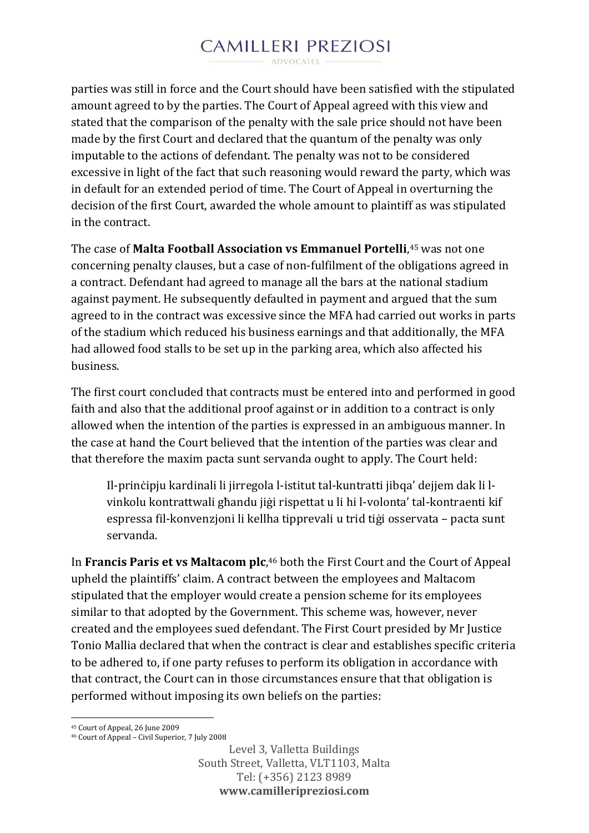ADVOCATES -

parties was still in force and the Court should have been satisfied with the stipulated amount agreed to by the parties. The Court of Appeal agreed with this view and stated that the comparison of the penalty with the sale price should not have been made by the first Court and declared that the quantum of the penalty was only imputable to the actions of defendant. The penalty was not to be considered excessive in light of the fact that such reasoning would reward the party, which was in default for an extended period of time. The Court of Appeal in overturning the decision of the first Court, awarded the whole amount to plaintiff as was stipulated in the contract.

The case of **Malta Football Association vs Emmanuel Portelli**, <sup>45</sup> was not one concerning penalty clauses, but a case of non-fulfilment of the obligations agreed in a contract. Defendant had agreed to manage all the bars at the national stadium against payment. He subsequently defaulted in payment and argued that the sum agreed to in the contract was excessive since the MFA had carried out works in parts of the stadium which reduced his business earnings and that additionally, the MFA had allowed food stalls to be set up in the parking area, which also affected his business.

The first court concluded that contracts must be entered into and performed in good faith and also that the additional proof against or in addition to a contract is only allowed when the intention of the parties is expressed in an ambiguous manner. In the case at hand the Court believed that the intention of the parties was clear and that therefore the maxim pacta sunt servanda ought to apply. The Court held:

Il-prinċipju kardinali li jirregola l-istitut tal-kuntratti jibqa' dejjem dak li lvinkolu kontrattwali għandu jiġi rispettat u li hi l-volonta' tal-kontraenti kif espressa fil-konvenzjoni li kellha tipprevali u trid tiġi osservata – pacta sunt servanda.

In **Francis Paris et vs Maltacom plc**, <sup>46</sup> both the First Court and the Court of Appeal upheld the plaintiffs' claim. A contract between the employees and Maltacom stipulated that the employer would create a pension scheme for its employees similar to that adopted by the Government. This scheme was, however, never created and the employees sued defendant. The First Court presided by Mr Justice Tonio Mallia declared that when the contract is clear and establishes specific criteria to be adhered to, if one party refuses to perform its obligation in accordance with that contract, the Court can in those circumstances ensure that that obligation is performed without imposing its own beliefs on the parties:

1

<sup>45</sup> Court of Appeal, 26 June 2009

<sup>46</sup> Court of Appeal – Civil Superior, 7 July 2008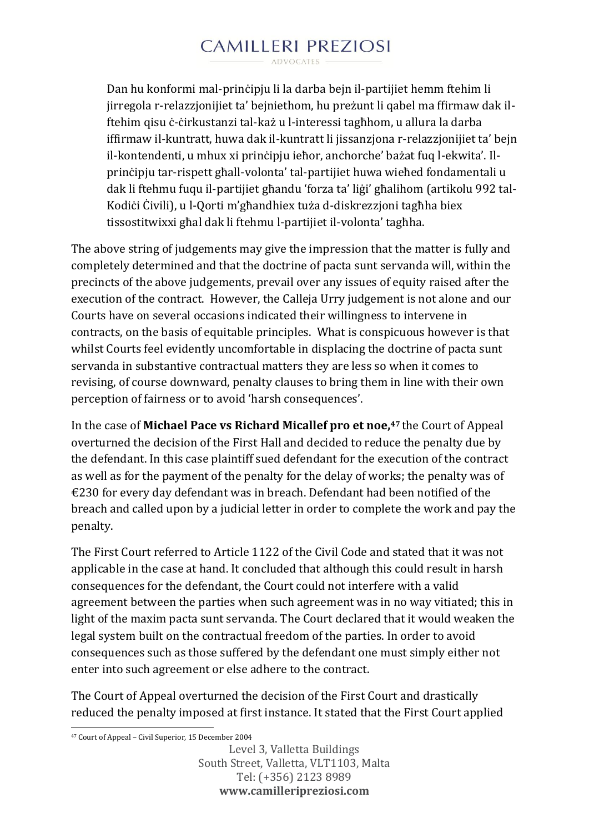Dan hu konformi mal-prinċipju li la darba bejn il-partijiet hemm ftehim li jirregola r-relazzjonijiet ta' bejniethom, hu preżunt li qabel ma ffirmaw dak ilftehim qisu ċ-ċirkustanzi tal-każ u l-interessi tagħhom, u allura la darba iffirmaw il-kuntratt, huwa dak il-kuntratt li jissanzjona r-relazzjonijiet ta' bejn il-kontendenti, u mhux xi prinċipju ieħor, anchorche' bażat fuq l-ekwita'. Ilprinċipju tar-rispett għall-volonta' tal-partijiet huwa wieħed fondamentali u dak li ftehmu fuqu il-partijiet għandu 'forza ta' liġi' għalihom (artikolu 992 tal-Kodiċi Ċivili), u l-Qorti m'għandhiex tuża d-diskrezzjoni tagħha biex tissostitwixxi għal dak li ftehmu l-partijiet il-volonta' tagħha.

The above string of judgements may give the impression that the matter is fully and completely determined and that the doctrine of pacta sunt servanda will, within the precincts of the above judgements, prevail over any issues of equity raised after the execution of the contract. However, the Calleja Urry judgement is not alone and our Courts have on several occasions indicated their willingness to intervene in contracts, on the basis of equitable principles. What is conspicuous however is that whilst Courts feel evidently uncomfortable in displacing the doctrine of pacta sunt servanda in substantive contractual matters they are less so when it comes to revising, of course downward, penalty clauses to bring them in line with their own perception of fairness or to avoid 'harsh consequences'.

In the case of **Michael Pace vs Richard Micallef pro et noe,<sup>47</sup>** the Court of Appeal overturned the decision of the First Hall and decided to reduce the penalty due by the defendant. In this case plaintiff sued defendant for the execution of the contract as well as for the payment of the penalty for the delay of works; the penalty was of €230 for every day defendant was in breach. Defendant had been notified of the breach and called upon by a judicial letter in order to complete the work and pay the penalty.

The First Court referred to Article 1122 of the Civil Code and stated that it was not applicable in the case at hand. It concluded that although this could result in harsh consequences for the defendant, the Court could not interfere with a valid agreement between the parties when such agreement was in no way vitiated; this in light of the maxim pacta sunt servanda. The Court declared that it would weaken the legal system built on the contractual freedom of the parties. In order to avoid consequences such as those suffered by the defendant one must simply either not enter into such agreement or else adhere to the contract.

The Court of Appeal overturned the decision of the First Court and drastically reduced the penalty imposed at first instance. It stated that the First Court applied

<sup>1</sup> <sup>47</sup> Court of Appeal – Civil Superior, 15 December 2004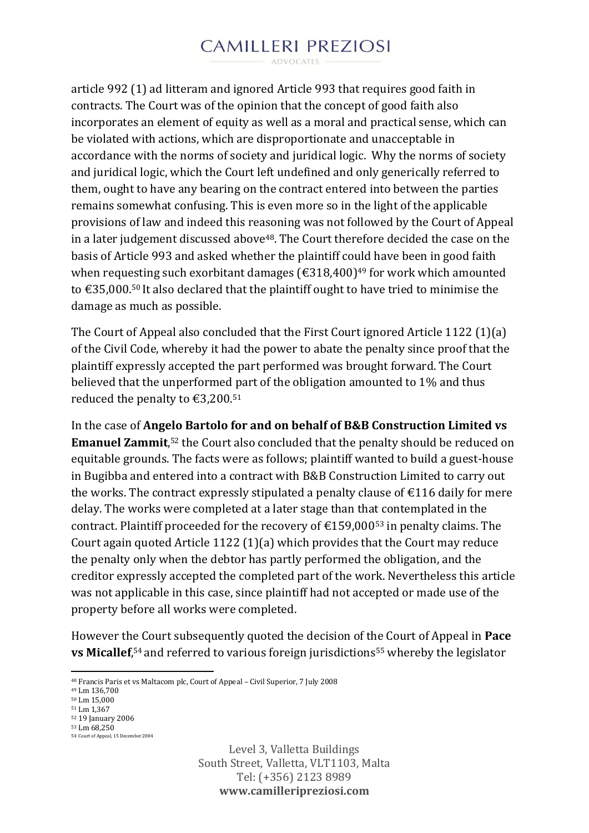ADVOCATES

article 992 (1) ad litteram and ignored Article 993 that requires good faith in contracts. The Court was of the opinion that the concept of good faith also incorporates an element of equity as well as a moral and practical sense, which can be violated with actions, which are disproportionate and unacceptable in accordance with the norms of society and juridical logic. Why the norms of society and juridical logic, which the Court left undefined and only generically referred to them, ought to have any bearing on the contract entered into between the parties remains somewhat confusing. This is even more so in the light of the applicable provisions of law and indeed this reasoning was not followed by the Court of Appeal in a later judgement discussed above<sup>48</sup>. The Court therefore decided the case on the basis of Article 993 and asked whether the plaintiff could have been in good faith when requesting such exorbitant damages ( $\epsilon$ 318,400)<sup>49</sup> for work which amounted to €35,000.<sup>50</sup> It also declared that the plaintiff ought to have tried to minimise the damage as much as possible.

The Court of Appeal also concluded that the First Court ignored Article 1122 (1)(a) of the Civil Code, whereby it had the power to abate the penalty since proof that the plaintiff expressly accepted the part performed was brought forward. The Court believed that the unperformed part of the obligation amounted to 1% and thus reduced the penalty to  $\text{\textsterling}3,200.51$ 

In the case of **Angelo Bartolo for and on behalf of B&B Construction Limited vs Emanuel Zammit**,<sup>52</sup> the Court also concluded that the penalty should be reduced on equitable grounds. The facts were as follows; plaintiff wanted to build a guest-house in Bugibba and entered into a contract with B&B Construction Limited to carry out the works. The contract expressly stipulated a penalty clause of  $\epsilon$ 116 daily for mere delay. The works were completed at a later stage than that contemplated in the contract. Plaintiff proceeded for the recovery of  $\text{£}159.000^{53}$  in penalty claims. The Court again quoted Article 1122 (1)(a) which provides that the Court may reduce the penalty only when the debtor has partly performed the obligation, and the creditor expressly accepted the completed part of the work. Nevertheless this article was not applicable in this case, since plaintiff had not accepted or made use of the property before all works were completed.

However the Court subsequently quoted the decision of the Court of Appeal in **Pace vs Micallef**,<sup>54</sup> and referred to various foreign jurisdictions<sup>55</sup> whereby the legislator

<sup>49</sup> Lm 136,700

1

<sup>48</sup> Francis Paris et vs Maltacom plc, Court of Appeal – Civil Superior, 7 July 2008

<sup>50</sup> Lm 15,000

<sup>51</sup> Lm 1,367

<sup>52</sup> 19 January 2006 <sup>53</sup> Lm 68,250

<sup>54</sup> Court of Appeal, 15 December 2004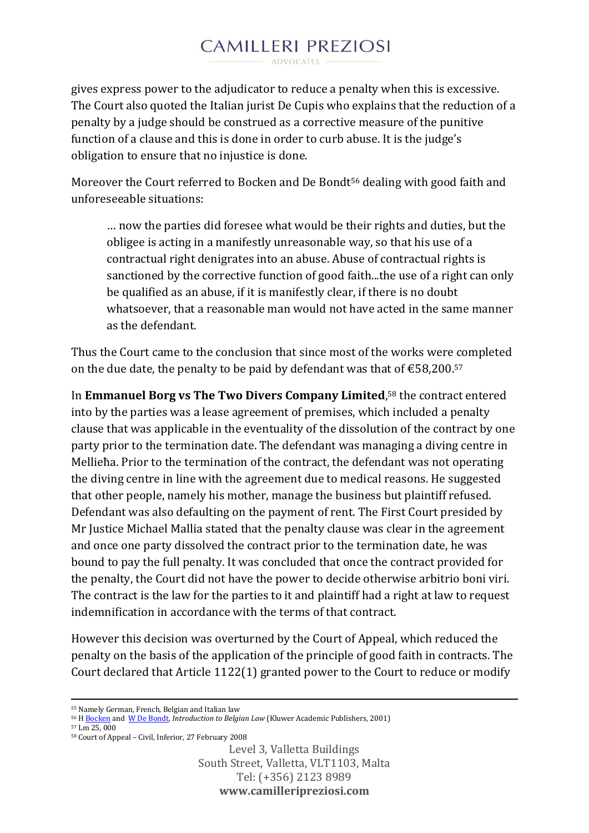gives express power to the adjudicator to reduce a penalty when this is excessive. The Court also quoted the Italian jurist De Cupis who explains that the reduction of a penalty by a judge should be construed as a corrective measure of the punitive function of a clause and this is done in order to curb abuse. It is the judge's obligation to ensure that no injustice is done.

Moreover the Court referred to Bocken and De Bondt<sup>56</sup> dealing with good faith and unforeseeable situations:

… now the parties did foresee what would be their rights and duties, but the obligee is acting in a manifestly unreasonable way, so that his use of a contractual right denigrates into an abuse. Abuse of contractual rights is sanctioned by the corrective function of good faith...the use of a right can only be qualified as an abuse, if it is manifestly clear, if there is no doubt whatsoever, that a reasonable man would not have acted in the same manner as the defendant.

Thus the Court came to the conclusion that since most of the works were completed on the due date, the penalty to be paid by defendant was that of  $\text{\textsterling}58,200.57$ 

In **Emmanuel Borg vs The Two Divers Company Limited**, <sup>58</sup> the contract entered into by the parties was a lease agreement of premises, which included a penalty clause that was applicable in the eventuality of the dissolution of the contract by one party prior to the termination date. The defendant was managing a diving centre in Mellieħa. Prior to the termination of the contract, the defendant was not operating the diving centre in line with the agreement due to medical reasons. He suggested that other people, namely his mother, manage the business but plaintiff refused. Defendant was also defaulting on the payment of rent. The First Court presided by Mr Justice Michael Mallia stated that the penalty clause was clear in the agreement and once one party dissolved the contract prior to the termination date, he was bound to pay the full penalty. It was concluded that once the contract provided for the penalty, the Court did not have the power to decide otherwise arbitrio boni viri. The contract is the law for the parties to it and plaintiff had a right at law to request indemnification in accordance with the terms of that contract.

However this decision was overturned by the Court of Appeal, which reduced the penalty on the basis of the application of the principle of good faith in contracts. The Court declared that Article 1122(1) granted power to the Court to reduce or modify

<sup>57</sup> Lm 25, 000

**.** 

<sup>55</sup> Namely German, French, Belgian and Italian law

<sup>56</sup> [H Bocken](http://www.google.com.mt/search?tbo=p&tbm=bks&q=inauthor:%22Hubert+Bocken%22) and W [De Bondt,](http://www.google.com.mt/search?tbo=p&tbm=bks&q=inauthor:%22Walter+De+Bondt%22) *Introduction to Belgian Law* (Kluwer Academic Publishers, 2001)

<sup>58</sup> Court of Appeal – Civil, Inferior, 27 February 2008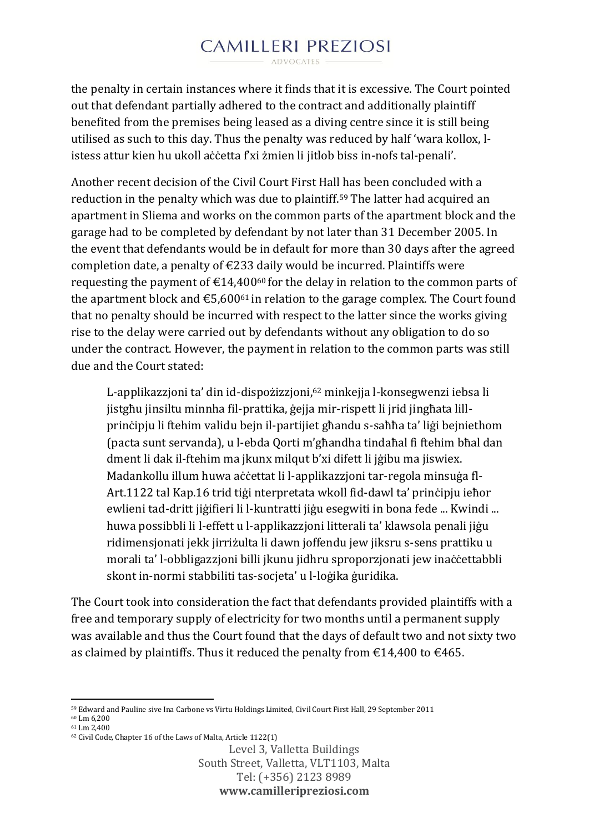ADVOCATES -

the penalty in certain instances where it finds that it is excessive. The Court pointed out that defendant partially adhered to the contract and additionally plaintiff benefited from the premises being leased as a diving centre since it is still being utilised as such to this day. Thus the penalty was reduced by half 'wara kollox, listess attur kien hu ukoll aċċetta f'xi żmien li jitlob biss in-nofs tal-penali'.

Another recent decision of the Civil Court First Hall has been concluded with a reduction in the penalty which was due to plaintiff.<sup>59</sup> The latter had acquired an apartment in Sliema and works on the common parts of the apartment block and the garage had to be completed by defendant by not later than 31 December 2005. In the event that defendants would be in default for more than 30 days after the agreed completion date, a penalty of  $\epsilon$ 233 daily would be incurred. Plaintiffs were requesting the payment of  $\epsilon$ 14,400<sup>60</sup> for the delay in relation to the common parts of the apartment block and  $\epsilon$ 5,600<sup>61</sup> in relation to the garage complex. The Court found that no penalty should be incurred with respect to the latter since the works giving rise to the delay were carried out by defendants without any obligation to do so under the contract. However, the payment in relation to the common parts was still due and the Court stated:

L-applikazzjoni ta' din id-dispożizzjoni,<sup>62</sup> minkejja l-konsegwenzi iebsa li jistgħu jinsiltu minnha fil-prattika, ġejja mir-rispett li jrid jingħata lillprinċipju li ftehim validu bejn il-partijiet għandu s-saħħa ta' liġi bejniethom (pacta sunt servanda), u l-ebda Qorti m'għandha tindaħal fi ftehim bħal dan dment li dak il-ftehim ma jkunx milqut b'xi difett li jġibu ma jiswiex. Madankollu illum huwa aċċettat li l-applikazzjoni tar-regola minsuġa fl-Art.1122 tal Kap.16 trid tiġi nterpretata wkoll fid-dawl ta' prinċipju ieħor ewlieni tad-dritt jiġifieri li l-kuntratti jiġu esegwiti in bona fede ... Kwindi ... huwa possibbli li l-effett u l-applikazzjoni litterali ta' klawsola penali jiġu ridimensjonati jekk jirriżulta li dawn joffendu jew jiksru s-sens prattiku u morali ta' l-obbligazzioni billi ikunu jidhru sproporzionati jew inaċċettabbli skont in-normi stabbiliti tas-socjeta' u l-loġika ġuridika.

The Court took into consideration the fact that defendants provided plaintiffs with a free and temporary supply of electricity for two months until a permanent supply was available and thus the Court found that the days of default two and not sixty two as claimed by plaintiffs. Thus it reduced the penalty from  $\epsilon$ 14,400 to  $\epsilon$ 465.

<sup>59</sup> Edward and Pauline sive Ina Carbone vs Virtu Holdings Limited, Civil Court First Hall, 29 September 2011

<sup>60</sup> Lm 6,200 <sup>61</sup> Lm 2,400

**.** 

<sup>62</sup> Civil Code, Chapter 16 of the Laws of Malta, Article 1122(1)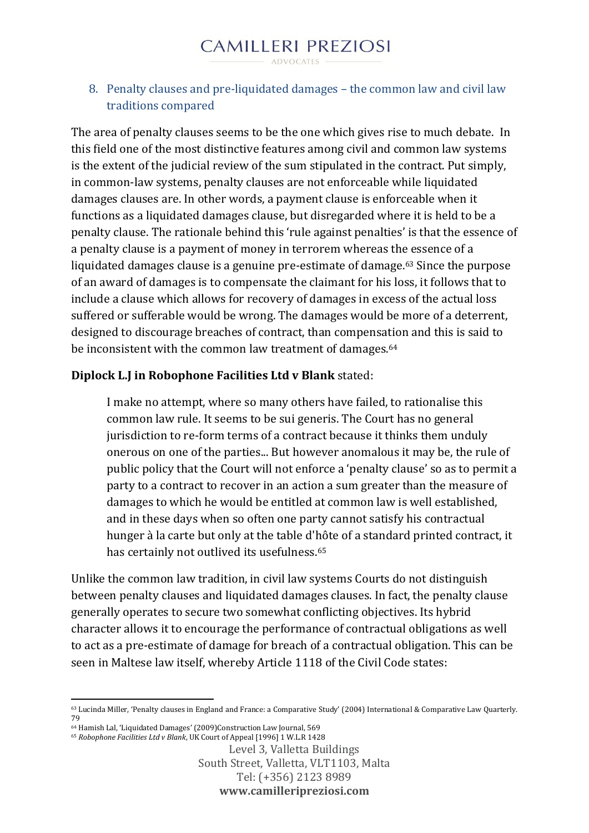#### 8. Penalty clauses and pre-liquidated damages – the common law and civil law traditions compared

The area of penalty clauses seems to be the one which gives rise to much debate. In this field one of the most distinctive features among civil and common law systems is the extent of the judicial review of the sum stipulated in the contract. Put simply, in common-law systems, penalty clauses are not enforceable while liquidated damages clauses are. In other words, a payment clause is enforceable when it functions as a liquidated damages clause, but disregarded where it is held to be a penalty clause. The rationale behind this 'rule against penalties' is that the essence of a penalty clause is a payment of money in terrorem whereas the essence of a liquidated damages clause is a genuine pre-estimate of damage.<sup>63</sup> Since the purpose of an award of damages is to compensate the claimant for his loss, it follows that to include a clause which allows for recovery of damages in excess of the actual loss suffered or sufferable would be wrong. The damages would be more of a deterrent, designed to discourage breaches of contract, than compensation and this is said to be inconsistent with the common law treatment of damages.<sup>64</sup>

### **Diplock L.J in Robophone Facilities Ltd v Blank** stated:

I make no attempt, where so many others have failed, to rationalise this common law rule. It seems to be sui generis. The Court has no general jurisdiction to re-form terms of a contract because it thinks them unduly onerous on one of the parties... But however anomalous it may be, the rule of public policy that the Court will not enforce a 'penalty clause' so as to permit a party to a contract to recover in an action a sum greater than the measure of damages to which he would be entitled at common law is well established, and in these days when so often one party cannot satisfy his contractual hunger à la carte but only at the table d'hôte of a standard printed contract, it has certainly not outlived its usefulness.<sup>65</sup>

Unlike the common law tradition, in civil law systems Courts do not distinguish between penalty clauses and liquidated damages clauses. In fact, the penalty clause generally operates to secure two somewhat conflicting objectives. Its hybrid character allows it to encourage the performance of contractual obligations as well to act as a pre-estimate of damage for breach of a contractual obligation. This can be seen in Maltese law itself, whereby Article 1118 of the Civil Code states:

**<sup>.</sup>** <sup>63</sup> Lucinda Miller, 'Penalty clauses in England and France: a Comparative Study' (2004) International & Comparative Law Quarterly. 79

<sup>64</sup> Hamish Lal, 'Liquidated Damages' (2009)Construction Law Journal, 569

<sup>65</sup> *Robophone Facilities Ltd v Blank*, UK Court of Appeal [1996] 1 W.L.R 1428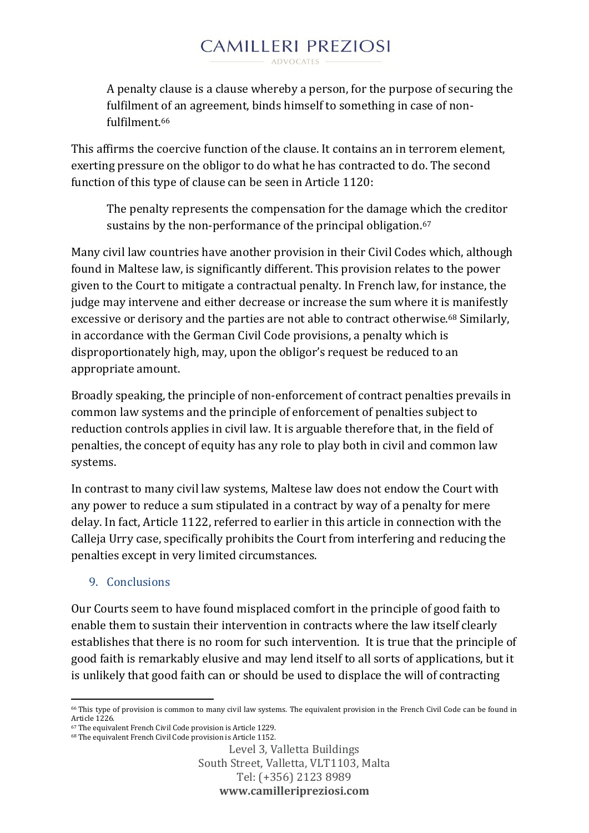A penalty clause is a clause whereby a person, for the purpose of securing the fulfilment of an agreement, binds himself to something in case of nonfulfilment 66

This affirms the coercive function of the clause. It contains an in terrorem element, exerting pressure on the obligor to do what he has contracted to do. The second function of this type of clause can be seen in Article 1120:

The penalty represents the compensation for the damage which the creditor sustains by the non-performance of the principal obligation.<sup>67</sup>

Many civil law countries have another provision in their Civil Codes which, although found in Maltese law, is significantly different. This provision relates to the power given to the Court to mitigate a contractual penalty. In French law, for instance, the judge may intervene and either decrease or increase the sum where it is manifestly excessive or derisory and the parties are not able to contract otherwise.<sup>68</sup> Similarly, in accordance with the German Civil Code provisions, a penalty which is disproportionately high, may, upon the obligor's request be reduced to an appropriate amount.

Broadly speaking, the principle of non-enforcement of contract penalties prevails in common law systems and the principle of enforcement of penalties subject to reduction controls applies in civil law. It is arguable therefore that, in the field of penalties, the concept of equity has any role to play both in civil and common law systems.

In contrast to many civil law systems, Maltese law does not endow the Court with any power to reduce a sum stipulated in a contract by way of a penalty for mere delay. In fact, Article 1122, referred to earlier in this article in connection with the Calleja Urry case, specifically prohibits the Court from interfering and reducing the penalties except in very limited circumstances.

#### 9. Conclusions

Our Courts seem to have found misplaced comfort in the principle of good faith to enable them to sustain their intervention in contracts where the law itself clearly establishes that there is no room for such intervention. It is true that the principle of good faith is remarkably elusive and may lend itself to all sorts of applications, but it is unlikely that good faith can or should be used to displace the will of contracting

**<sup>.</sup>** <sup>66</sup> This type of provision is common to many civil law systems. The equivalent provision in the French Civil Code can be found in Article 1226.

<sup>67</sup> The equivalent French Civil Code provision is Article 1229. <sup>68</sup> The equivalent French Civil Code provision is Article 1152.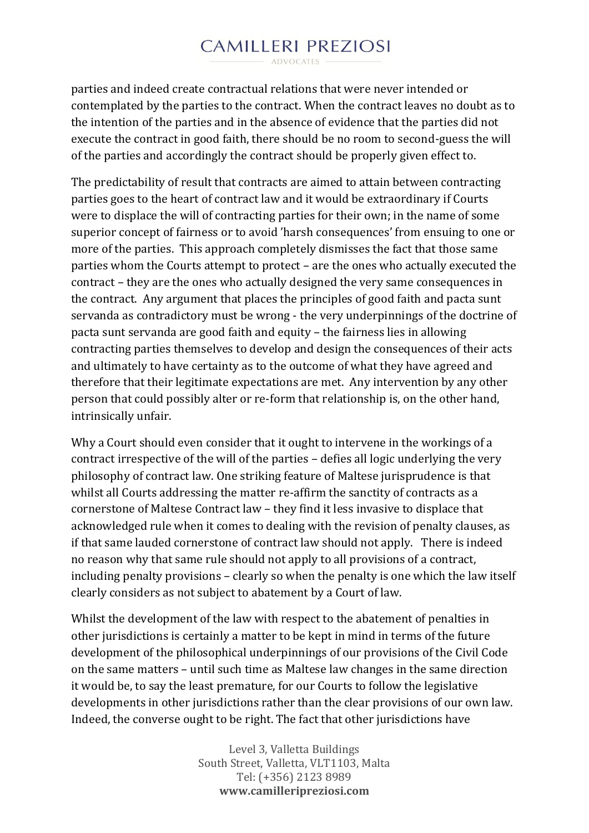$ANDVOCATFS =$ 

parties and indeed create contractual relations that were never intended or contemplated by the parties to the contract. When the contract leaves no doubt as to the intention of the parties and in the absence of evidence that the parties did not execute the contract in good faith, there should be no room to second-guess the will of the parties and accordingly the contract should be properly given effect to.

The predictability of result that contracts are aimed to attain between contracting parties goes to the heart of contract law and it would be extraordinary if Courts were to displace the will of contracting parties for their own; in the name of some superior concept of fairness or to avoid 'harsh consequences' from ensuing to one or more of the parties. This approach completely dismisses the fact that those same parties whom the Courts attempt to protect – are the ones who actually executed the contract – they are the ones who actually designed the very same consequences in the contract. Any argument that places the principles of good faith and pacta sunt servanda as contradictory must be wrong - the very underpinnings of the doctrine of pacta sunt servanda are good faith and equity – the fairness lies in allowing contracting parties themselves to develop and design the consequences of their acts and ultimately to have certainty as to the outcome of what they have agreed and therefore that their legitimate expectations are met. Any intervention by any other person that could possibly alter or re-form that relationship is, on the other hand, intrinsically unfair.

Why a Court should even consider that it ought to intervene in the workings of a contract irrespective of the will of the parties – defies all logic underlying the very philosophy of contract law. One striking feature of Maltese jurisprudence is that whilst all Courts addressing the matter re-affirm the sanctity of contracts as a cornerstone of Maltese Contract law – they find it less invasive to displace that acknowledged rule when it comes to dealing with the revision of penalty clauses, as if that same lauded cornerstone of contract law should not apply. There is indeed no reason why that same rule should not apply to all provisions of a contract, including penalty provisions – clearly so when the penalty is one which the law itself clearly considers as not subject to abatement by a Court of law.

Whilst the development of the law with respect to the abatement of penalties in other jurisdictions is certainly a matter to be kept in mind in terms of the future development of the philosophical underpinnings of our provisions of the Civil Code on the same matters – until such time as Maltese law changes in the same direction it would be, to say the least premature, for our Courts to follow the legislative developments in other jurisdictions rather than the clear provisions of our own law. Indeed, the converse ought to be right. The fact that other jurisdictions have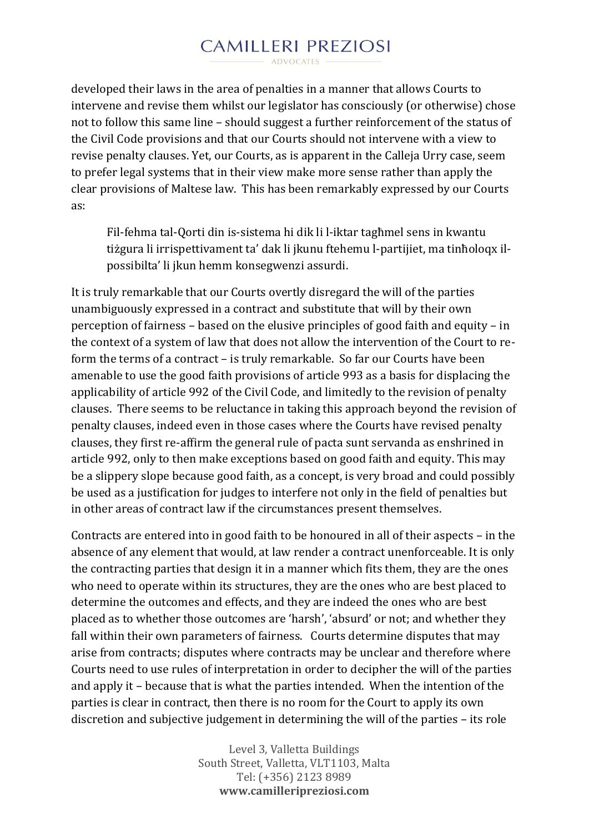ADVOCATES -

developed their laws in the area of penalties in a manner that allows Courts to intervene and revise them whilst our legislator has consciously (or otherwise) chose not to follow this same line – should suggest a further reinforcement of the status of the Civil Code provisions and that our Courts should not intervene with a view to revise penalty clauses. Yet, our Courts, as is apparent in the Calleja Urry case, seem to prefer legal systems that in their view make more sense rather than apply the clear provisions of Maltese law. This has been remarkably expressed by our Courts as:

Fil-fehma tal-Qorti din is-sistema hi dik li l-iktar tagħmel sens in kwantu tiżgura li irrispettivament ta' dak li jkunu ftehemu l-partijiet, ma tinħoloqx ilpossibilta' li jkun hemm konsegwenzi assurdi.

It is truly remarkable that our Courts overtly disregard the will of the parties unambiguously expressed in a contract and substitute that will by their own perception of fairness – based on the elusive principles of good faith and equity – in the context of a system of law that does not allow the intervention of the Court to reform the terms of a contract – is truly remarkable. So far our Courts have been amenable to use the good faith provisions of article 993 as a basis for displacing the applicability of article 992 of the Civil Code, and limitedly to the revision of penalty clauses. There seems to be reluctance in taking this approach beyond the revision of penalty clauses, indeed even in those cases where the Courts have revised penalty clauses, they first re-affirm the general rule of pacta sunt servanda as enshrined in article 992, only to then make exceptions based on good faith and equity. This may be a slippery slope because good faith, as a concept, is very broad and could possibly be used as a justification for judges to interfere not only in the field of penalties but in other areas of contract law if the circumstances present themselves.

Contracts are entered into in good faith to be honoured in all of their aspects – in the absence of any element that would, at law render a contract unenforceable. It is only the contracting parties that design it in a manner which fits them, they are the ones who need to operate within its structures, they are the ones who are best placed to determine the outcomes and effects, and they are indeed the ones who are best placed as to whether those outcomes are 'harsh', 'absurd' or not; and whether they fall within their own parameters of fairness. Courts determine disputes that may arise from contracts; disputes where contracts may be unclear and therefore where Courts need to use rules of interpretation in order to decipher the will of the parties and apply it – because that is what the parties intended. When the intention of the parties is clear in contract, then there is no room for the Court to apply its own discretion and subjective judgement in determining the will of the parties – its role